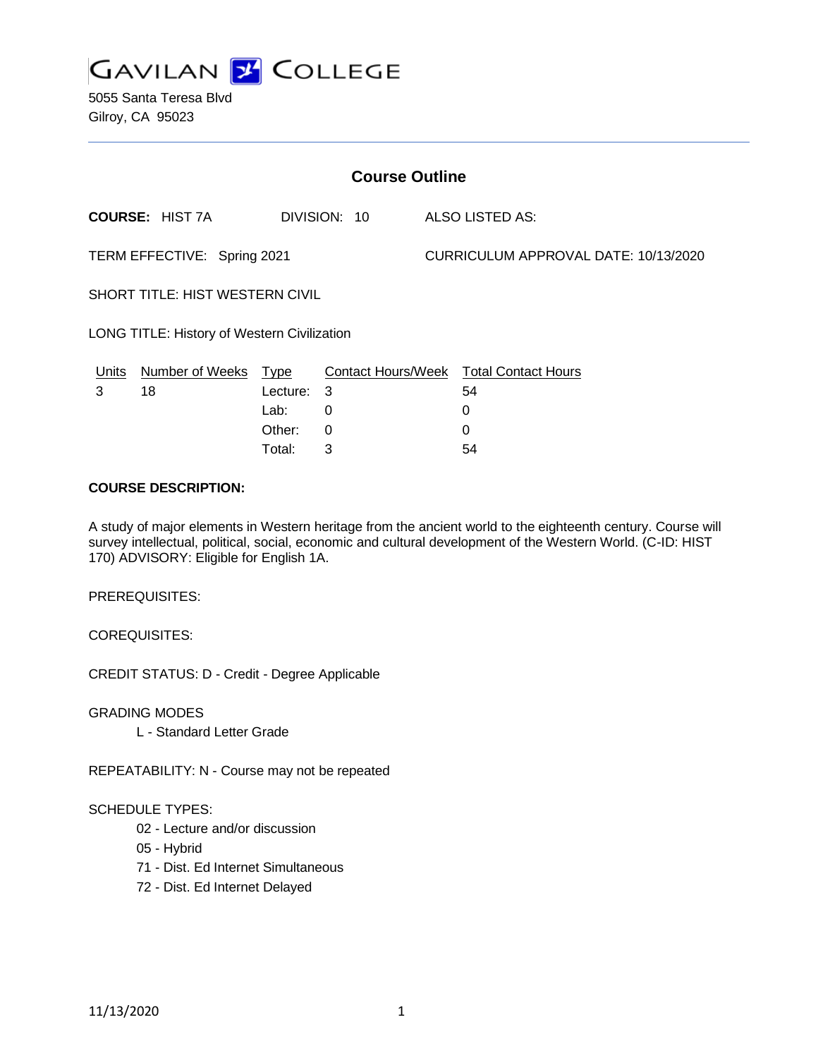

5055 Santa Teresa Blvd Gilroy, CA 95023

| <b>Course Outline</b>                              |                        |            |              |                                      |                                        |
|----------------------------------------------------|------------------------|------------|--------------|--------------------------------------|----------------------------------------|
|                                                    | <b>COURSE: HIST 7A</b> |            | DIVISION: 10 |                                      | ALSO LISTED AS:                        |
| TERM EFFECTIVE: Spring 2021                        |                        |            |              | CURRICULUM APPROVAL DATE: 10/13/2020 |                                        |
| <b>SHORT TITLE: HIST WESTERN CIVIL</b>             |                        |            |              |                                      |                                        |
| <b>LONG TITLE: History of Western Civilization</b> |                        |            |              |                                      |                                        |
| <u>Units</u>                                       | Number of Weeks Type   |            |              |                                      | Contact Hours/Week Total Contact Hours |
| 3                                                  | 18                     | Lecture: 3 |              |                                      | 54                                     |
|                                                    |                        | Lab:       | 0            |                                      | 0                                      |
|                                                    |                        | Other:     | 0            |                                      | 0                                      |

#### **COURSE DESCRIPTION:**

A study of major elements in Western heritage from the ancient world to the eighteenth century. Course will survey intellectual, political, social, economic and cultural development of the Western World. (C-ID: HIST 170) ADVISORY: Eligible for English 1A.

Total: 3 54

PREREQUISITES:

COREQUISITES:

CREDIT STATUS: D - Credit - Degree Applicable

GRADING MODES

L - Standard Letter Grade

REPEATABILITY: N - Course may not be repeated

#### SCHEDULE TYPES:

- 02 Lecture and/or discussion
- 05 Hybrid
- 71 Dist. Ed Internet Simultaneous
- 72 Dist. Ed Internet Delayed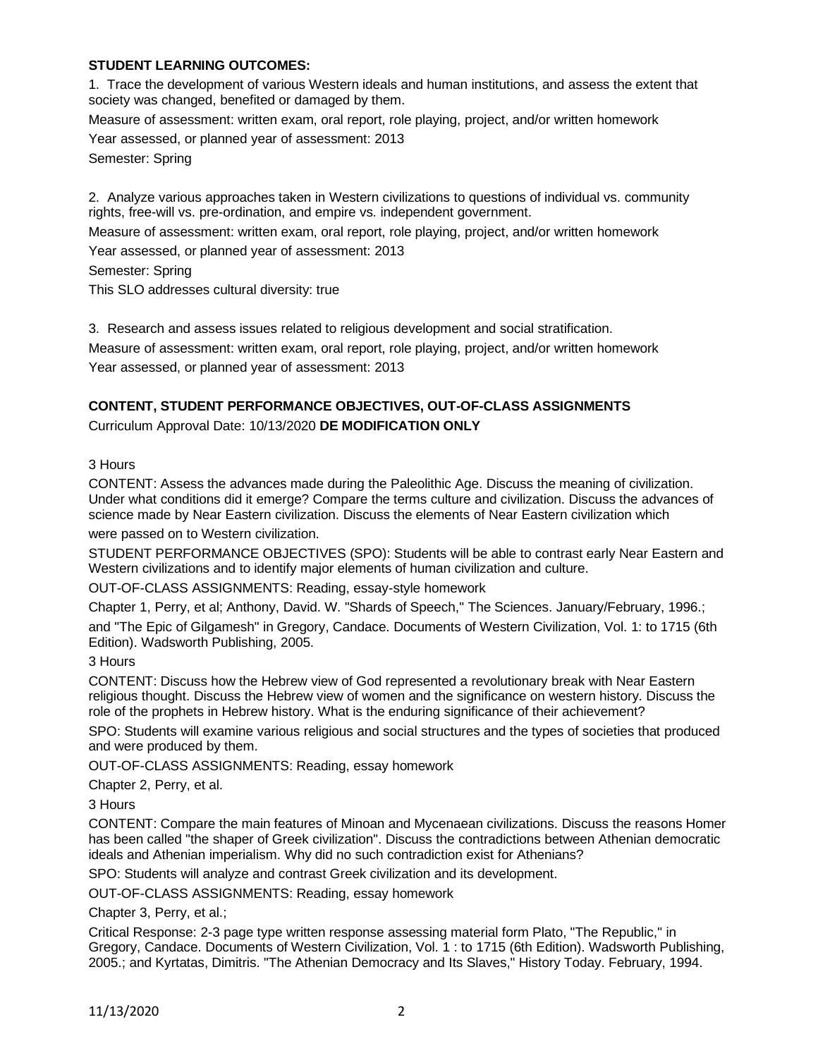# **STUDENT LEARNING OUTCOMES:**

1. Trace the development of various Western ideals and human institutions, and assess the extent that society was changed, benefited or damaged by them.

Measure of assessment: written exam, oral report, role playing, project, and/or written homework Year assessed, or planned year of assessment: 2013

Semester: Spring

2. Analyze various approaches taken in Western civilizations to questions of individual vs. community rights, free-will vs. pre-ordination, and empire vs. independent government.

Measure of assessment: written exam, oral report, role playing, project, and/or written homework Year assessed, or planned year of assessment: 2013

Semester: Spring

This SLO addresses cultural diversity: true

3. Research and assess issues related to religious development and social stratification.

Measure of assessment: written exam, oral report, role playing, project, and/or written homework Year assessed, or planned year of assessment: 2013

# **CONTENT, STUDENT PERFORMANCE OBJECTIVES, OUT-OF-CLASS ASSIGNMENTS**

Curriculum Approval Date: 10/13/2020 **DE MODIFICATION ONLY**

3 Hours

CONTENT: Assess the advances made during the Paleolithic Age. Discuss the meaning of civilization. Under what conditions did it emerge? Compare the terms culture and civilization. Discuss the advances of science made by Near Eastern civilization. Discuss the elements of Near Eastern civilization which were passed on to Western civilization.

STUDENT PERFORMANCE OBJECTIVES (SPO): Students will be able to contrast early Near Eastern and Western civilizations and to identify major elements of human civilization and culture.

OUT-OF-CLASS ASSIGNMENTS: Reading, essay-style homework

Chapter 1, Perry, et al; Anthony, David. W. "Shards of Speech," The Sciences. January/February, 1996.;

and "The Epic of Gilgamesh" in Gregory, Candace. Documents of Western Civilization, Vol. 1: to 1715 (6th Edition). Wadsworth Publishing, 2005.

3 Hours

CONTENT: Discuss how the Hebrew view of God represented a revolutionary break with Near Eastern religious thought. Discuss the Hebrew view of women and the significance on western history. Discuss the role of the prophets in Hebrew history. What is the enduring significance of their achievement?

SPO: Students will examine various religious and social structures and the types of societies that produced and were produced by them.

OUT-OF-CLASS ASSIGNMENTS: Reading, essay homework

Chapter 2, Perry, et al.

3 Hours

CONTENT: Compare the main features of Minoan and Mycenaean civilizations. Discuss the reasons Homer has been called "the shaper of Greek civilization". Discuss the contradictions between Athenian democratic ideals and Athenian imperialism. Why did no such contradiction exist for Athenians?

SPO: Students will analyze and contrast Greek civilization and its development.

OUT-OF-CLASS ASSIGNMENTS: Reading, essay homework

Chapter 3, Perry, et al.;

Critical Response: 2-3 page type written response assessing material form Plato, "The Republic," in Gregory, Candace. Documents of Western Civilization, Vol. 1 : to 1715 (6th Edition). Wadsworth Publishing, 2005.; and Kyrtatas, Dimitris. "The Athenian Democracy and Its Slaves," History Today. February, 1994.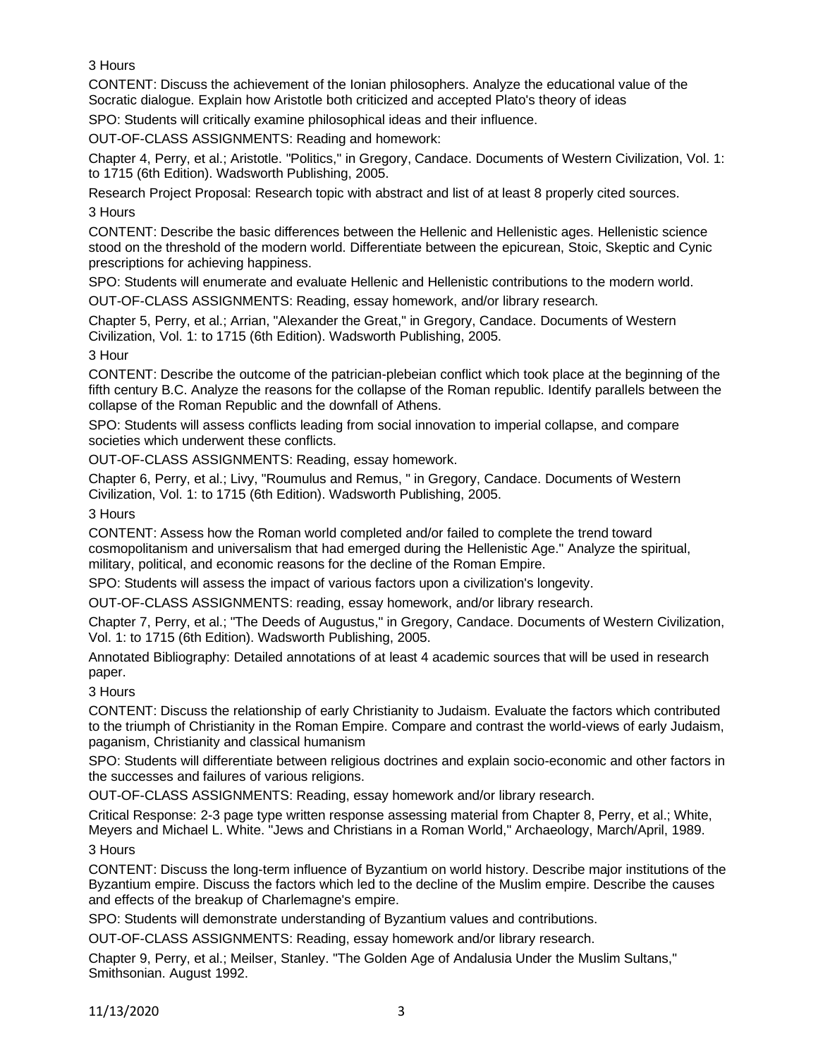3 Hours

CONTENT: Discuss the achievement of the Ionian philosophers. Analyze the educational value of the Socratic dialogue. Explain how Aristotle both criticized and accepted Plato's theory of ideas

SPO: Students will critically examine philosophical ideas and their influence.

OUT-OF-CLASS ASSIGNMENTS: Reading and homework:

Chapter 4, Perry, et al.; Aristotle. "Politics," in Gregory, Candace. Documents of Western Civilization, Vol. 1: to 1715 (6th Edition). Wadsworth Publishing, 2005.

Research Project Proposal: Research topic with abstract and list of at least 8 properly cited sources. 3 Hours

CONTENT: Describe the basic differences between the Hellenic and Hellenistic ages. Hellenistic science stood on the threshold of the modern world. Differentiate between the epicurean, Stoic, Skeptic and Cynic prescriptions for achieving happiness.

SPO: Students will enumerate and evaluate Hellenic and Hellenistic contributions to the modern world.

OUT-OF-CLASS ASSIGNMENTS: Reading, essay homework, and/or library research.

Chapter 5, Perry, et al.; Arrian, "Alexander the Great," in Gregory, Candace. Documents of Western Civilization, Vol. 1: to 1715 (6th Edition). Wadsworth Publishing, 2005.

3 Hour

CONTENT: Describe the outcome of the patrician-plebeian conflict which took place at the beginning of the fifth century B.C. Analyze the reasons for the collapse of the Roman republic. Identify parallels between the collapse of the Roman Republic and the downfall of Athens.

SPO: Students will assess conflicts leading from social innovation to imperial collapse, and compare societies which underwent these conflicts.

OUT-OF-CLASS ASSIGNMENTS: Reading, essay homework.

Chapter 6, Perry, et al.; Livy, "Roumulus and Remus, " in Gregory, Candace. Documents of Western Civilization, Vol. 1: to 1715 (6th Edition). Wadsworth Publishing, 2005.

3 Hours

CONTENT: Assess how the Roman world completed and/or failed to complete the trend toward cosmopolitanism and universalism that had emerged during the Hellenistic Age." Analyze the spiritual, military, political, and economic reasons for the decline of the Roman Empire.

SPO: Students will assess the impact of various factors upon a civilization's longevity.

OUT-OF-CLASS ASSIGNMENTS: reading, essay homework, and/or library research.

Chapter 7, Perry, et al.; "The Deeds of Augustus," in Gregory, Candace. Documents of Western Civilization, Vol. 1: to 1715 (6th Edition). Wadsworth Publishing, 2005.

Annotated Bibliography: Detailed annotations of at least 4 academic sources that will be used in research paper.

3 Hours

CONTENT: Discuss the relationship of early Christianity to Judaism. Evaluate the factors which contributed to the triumph of Christianity in the Roman Empire. Compare and contrast the world-views of early Judaism, paganism, Christianity and classical humanism

SPO: Students will differentiate between religious doctrines and explain socio-economic and other factors in the successes and failures of various religions.

OUT-OF-CLASS ASSIGNMENTS: Reading, essay homework and/or library research.

Critical Response: 2-3 page type written response assessing material from Chapter 8, Perry, et al.; White, Meyers and Michael L. White. "Jews and Christians in a Roman World," Archaeology, March/April, 1989. 3 Hours

CONTENT: Discuss the long-term influence of Byzantium on world history. Describe major institutions of the Byzantium empire. Discuss the factors which led to the decline of the Muslim empire. Describe the causes and effects of the breakup of Charlemagne's empire.

SPO: Students will demonstrate understanding of Byzantium values and contributions.

OUT-OF-CLASS ASSIGNMENTS: Reading, essay homework and/or library research.

Chapter 9, Perry, et al.; Meilser, Stanley. "The Golden Age of Andalusia Under the Muslim Sultans," Smithsonian. August 1992.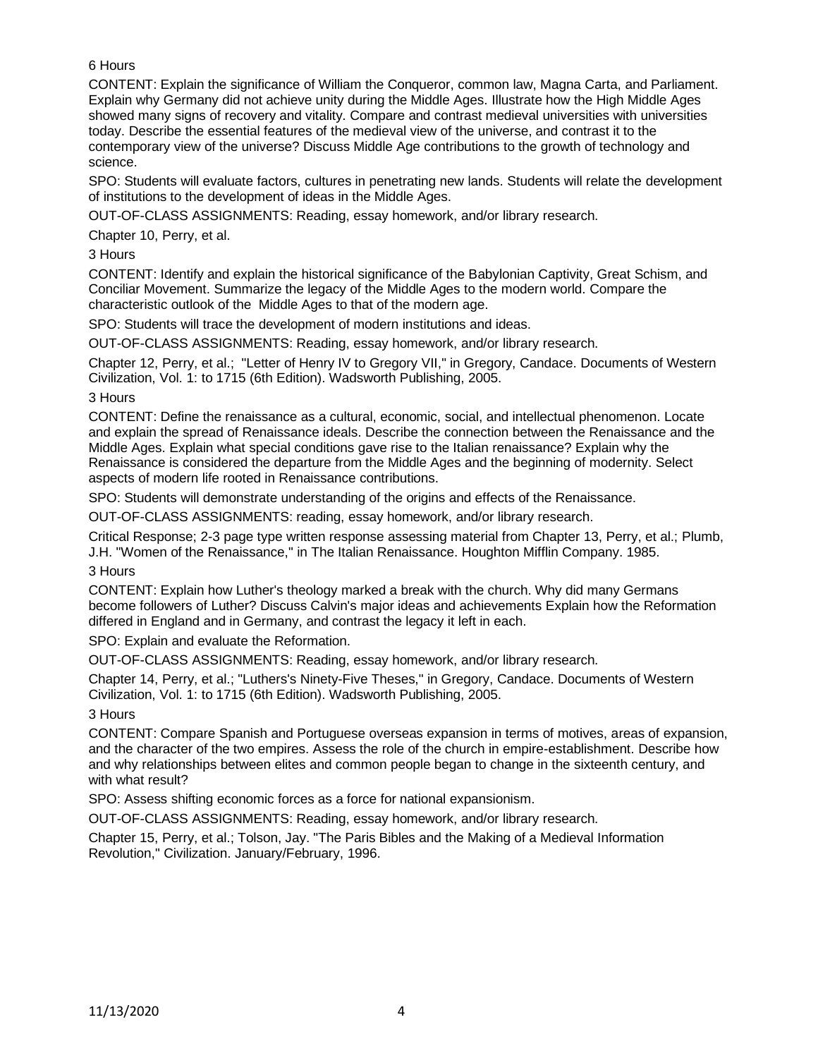# 6 Hours

CONTENT: Explain the significance of William the Conqueror, common law, Magna Carta, and Parliament. Explain why Germany did not achieve unity during the Middle Ages. Illustrate how the High Middle Ages showed many signs of recovery and vitality. Compare and contrast medieval universities with universities today. Describe the essential features of the medieval view of the universe, and contrast it to the contemporary view of the universe? Discuss Middle Age contributions to the growth of technology and science.

SPO: Students will evaluate factors, cultures in penetrating new lands. Students will relate the development of institutions to the development of ideas in the Middle Ages.

OUT-OF-CLASS ASSIGNMENTS: Reading, essay homework, and/or library research.

Chapter 10, Perry, et al.

3 Hours

CONTENT: Identify and explain the historical significance of the Babylonian Captivity, Great Schism, and Conciliar Movement. Summarize the legacy of the Middle Ages to the modern world. Compare the characteristic outlook of the Middle Ages to that of the modern age.

SPO: Students will trace the development of modern institutions and ideas.

OUT-OF-CLASS ASSIGNMENTS: Reading, essay homework, and/or library research.

Chapter 12, Perry, et al.; "Letter of Henry IV to Gregory VII," in Gregory, Candace. Documents of Western Civilization, Vol. 1: to 1715 (6th Edition). Wadsworth Publishing, 2005.

3 Hours

CONTENT: Define the renaissance as a cultural, economic, social, and intellectual phenomenon. Locate and explain the spread of Renaissance ideals. Describe the connection between the Renaissance and the Middle Ages. Explain what special conditions gave rise to the Italian renaissance? Explain why the Renaissance is considered the departure from the Middle Ages and the beginning of modernity. Select aspects of modern life rooted in Renaissance contributions.

SPO: Students will demonstrate understanding of the origins and effects of the Renaissance.

OUT-OF-CLASS ASSIGNMENTS: reading, essay homework, and/or library research.

Critical Response; 2-3 page type written response assessing material from Chapter 13, Perry, et al.; Plumb, J.H. "Women of the Renaissance," in The Italian Renaissance. Houghton Mifflin Company. 1985. 3 Hours

CONTENT: Explain how Luther's theology marked a break with the church. Why did many Germans become followers of Luther? Discuss Calvin's major ideas and achievements Explain how the Reformation differed in England and in Germany, and contrast the legacy it left in each.

SPO: Explain and evaluate the Reformation.

OUT-OF-CLASS ASSIGNMENTS: Reading, essay homework, and/or library research.

Chapter 14, Perry, et al.; "Luthers's Ninety-Five Theses," in Gregory, Candace. Documents of Western Civilization, Vol. 1: to 1715 (6th Edition). Wadsworth Publishing, 2005.

3 Hours

CONTENT: Compare Spanish and Portuguese overseas expansion in terms of motives, areas of expansion, and the character of the two empires. Assess the role of the church in empire-establishment. Describe how and why relationships between elites and common people began to change in the sixteenth century, and with what result?

SPO: Assess shifting economic forces as a force for national expansionism.

OUT-OF-CLASS ASSIGNMENTS: Reading, essay homework, and/or library research.

Chapter 15, Perry, et al.; Tolson, Jay. "The Paris Bibles and the Making of a Medieval Information Revolution," Civilization. January/February, 1996.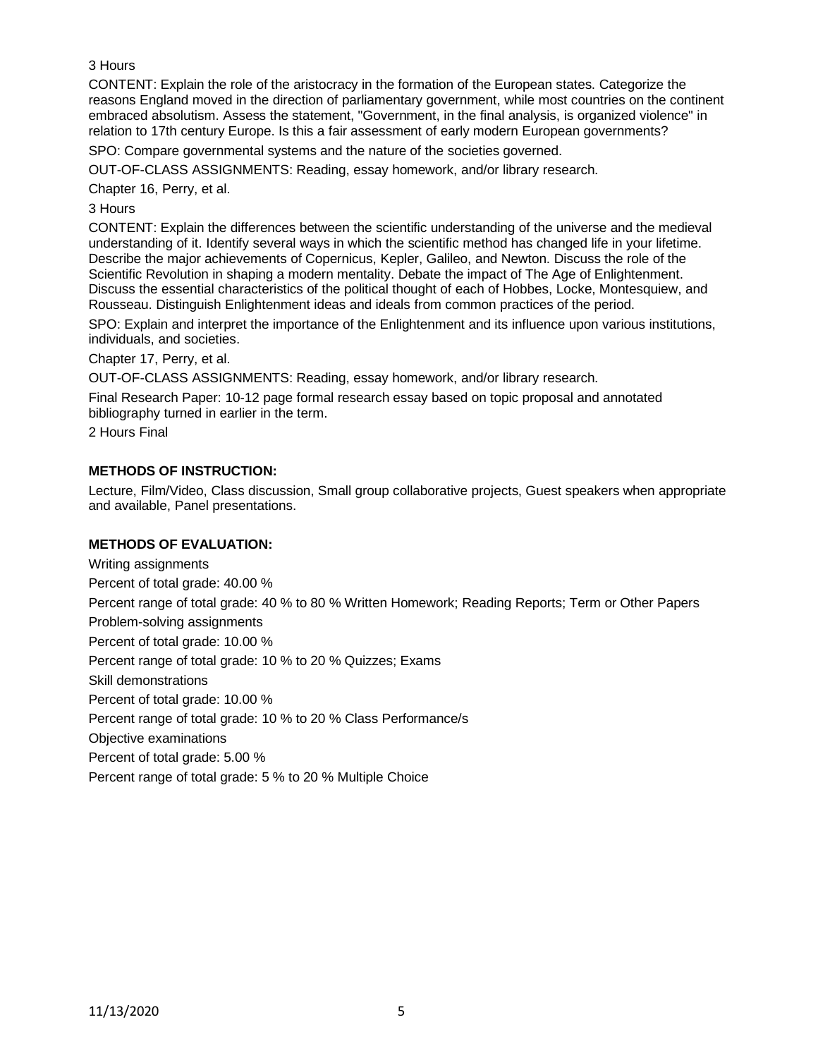3 Hours

CONTENT: Explain the role of the aristocracy in the formation of the European states. Categorize the reasons England moved in the direction of parliamentary government, while most countries on the continent embraced absolutism. Assess the statement, "Government, in the final analysis, is organized violence" in relation to 17th century Europe. Is this a fair assessment of early modern European governments?

SPO: Compare governmental systems and the nature of the societies governed.

OUT-OF-CLASS ASSIGNMENTS: Reading, essay homework, and/or library research.

Chapter 16, Perry, et al.

3 Hours

CONTENT: Explain the differences between the scientific understanding of the universe and the medieval understanding of it. Identify several ways in which the scientific method has changed life in your lifetime. Describe the major achievements of Copernicus, Kepler, Galileo, and Newton. Discuss the role of the Scientific Revolution in shaping a modern mentality. Debate the impact of The Age of Enlightenment. Discuss the essential characteristics of the political thought of each of Hobbes, Locke, Montesquiew, and Rousseau. Distinguish Enlightenment ideas and ideals from common practices of the period.

SPO: Explain and interpret the importance of the Enlightenment and its influence upon various institutions, individuals, and societies.

Chapter 17, Perry, et al.

OUT-OF-CLASS ASSIGNMENTS: Reading, essay homework, and/or library research.

Final Research Paper: 10-12 page formal research essay based on topic proposal and annotated bibliography turned in earlier in the term.

2 Hours Final

## **METHODS OF INSTRUCTION:**

Lecture, Film/Video, Class discussion, Small group collaborative projects, Guest speakers when appropriate and available, Panel presentations.

## **METHODS OF EVALUATION:**

Writing assignments Percent of total grade: 40.00 % Percent range of total grade: 40 % to 80 % Written Homework; Reading Reports; Term or Other Papers Problem-solving assignments Percent of total grade: 10.00 % Percent range of total grade: 10 % to 20 % Quizzes; Exams Skill demonstrations Percent of total grade: 10.00 % Percent range of total grade: 10 % to 20 % Class Performance/s Objective examinations Percent of total grade: 5.00 %

Percent range of total grade: 5 % to 20 % Multiple Choice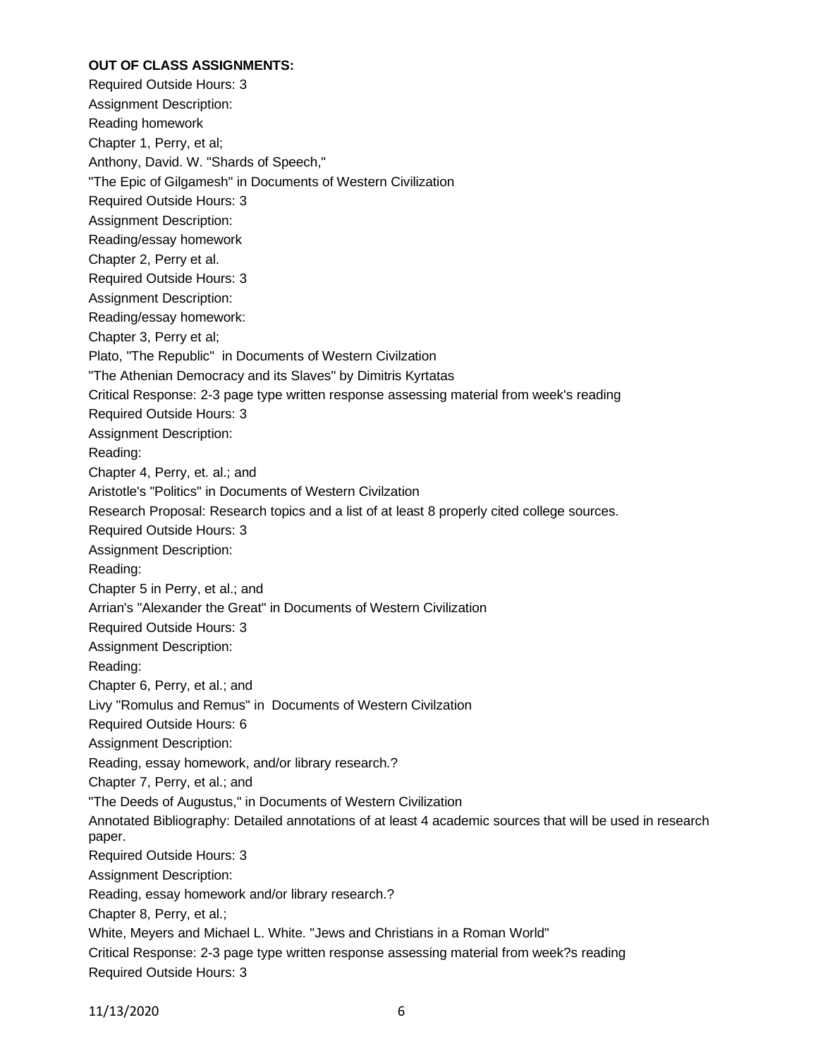### **OUT OF CLASS ASSIGNMENTS:**

Required Outside Hours: 3 Assignment Description: Reading homework Chapter 1, Perry, et al; Anthony, David. W. "Shards of Speech," "The Epic of Gilgamesh" in Documents of Western Civilization Required Outside Hours: 3 Assignment Description: Reading/essay homework Chapter 2, Perry et al. Required Outside Hours: 3 Assignment Description: Reading/essay homework: Chapter 3, Perry et al; Plato, "The Republic" in Documents of Western Civilzation "The Athenian Democracy and its Slaves" by Dimitris Kyrtatas Critical Response: 2-3 page type written response assessing material from week's reading Required Outside Hours: 3 Assignment Description: Reading: Chapter 4, Perry, et. al.; and Aristotle's "Politics" in Documents of Western Civilzation Research Proposal: Research topics and a list of at least 8 properly cited college sources. Required Outside Hours: 3 Assignment Description: Reading: Chapter 5 in Perry, et al.; and Arrian's "Alexander the Great" in Documents of Western Civilization Required Outside Hours: 3 Assignment Description: Reading: Chapter 6, Perry, et al.; and Livy "Romulus and Remus" in Documents of Western Civilzation Required Outside Hours: 6 Assignment Description: Reading, essay homework, and/or library research.? Chapter 7, Perry, et al.; and "The Deeds of Augustus," in Documents of Western Civilization Annotated Bibliography: Detailed annotations of at least 4 academic sources that will be used in research paper. Required Outside Hours: 3 Assignment Description: Reading, essay homework and/or library research.? Chapter 8, Perry, et al.; White, Meyers and Michael L. White. "Jews and Christians in a Roman World" Critical Response: 2-3 page type written response assessing material from week?s reading Required Outside Hours: 3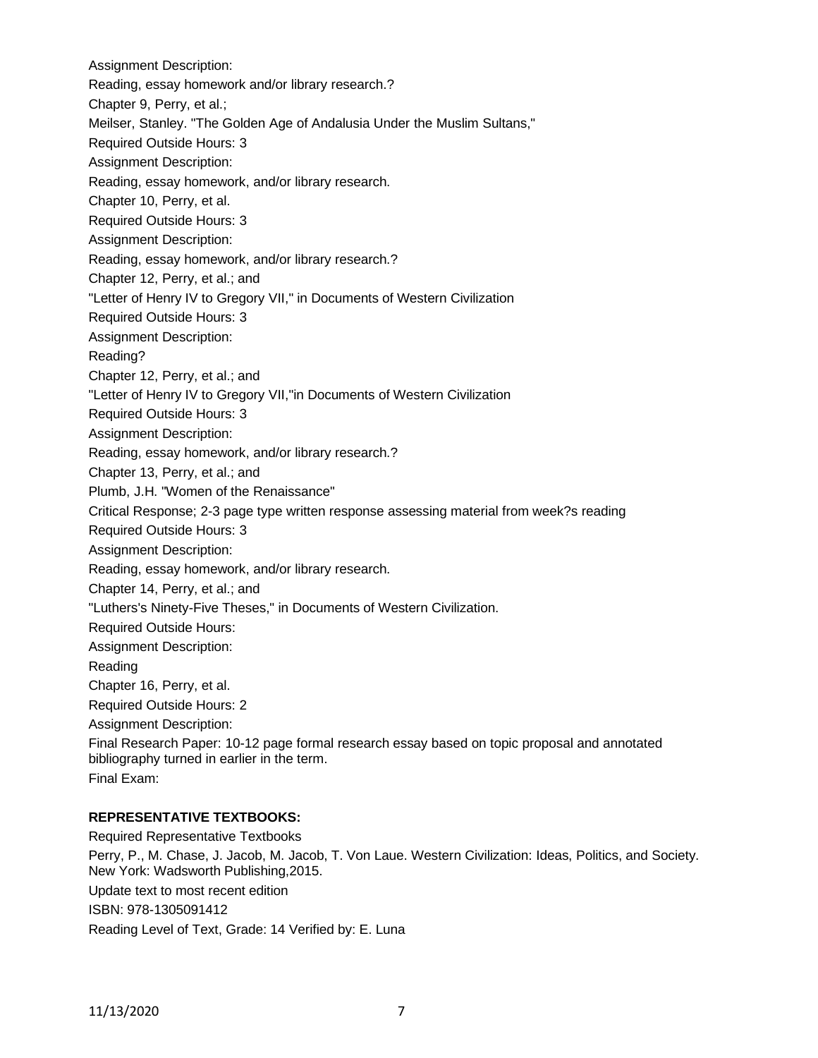Assignment Description: Reading, essay homework and/or library research.? Chapter 9, Perry, et al.; Meilser, Stanley. "The Golden Age of Andalusia Under the Muslim Sultans," Required Outside Hours: 3 Assignment Description: Reading, essay homework, and/or library research. Chapter 10, Perry, et al. Required Outside Hours: 3 Assignment Description: Reading, essay homework, and/or library research.? Chapter 12, Perry, et al.; and "Letter of Henry IV to Gregory VII," in Documents of Western Civilization Required Outside Hours: 3 Assignment Description: Reading? Chapter 12, Perry, et al.; and "Letter of Henry IV to Gregory VII,"in Documents of Western Civilization Required Outside Hours: 3 Assignment Description: Reading, essay homework, and/or library research.? Chapter 13, Perry, et al.; and Plumb, J.H. "Women of the Renaissance" Critical Response; 2-3 page type written response assessing material from week?s reading Required Outside Hours: 3 Assignment Description: Reading, essay homework, and/or library research. Chapter 14, Perry, et al.; and "Luthers's Ninety-Five Theses," in Documents of Western Civilization. Required Outside Hours: Assignment Description: Reading Chapter 16, Perry, et al. Required Outside Hours: 2 Assignment Description: Final Research Paper: 10-12 page formal research essay based on topic proposal and annotated bibliography turned in earlier in the term. Final Exam:

## **REPRESENTATIVE TEXTBOOKS:**

Required Representative Textbooks Perry, P., M. Chase, J. Jacob, M. Jacob, T. Von Laue. Western Civilization: Ideas, Politics, and Society. New York: Wadsworth Publishing,2015. Update text to most recent edition ISBN: 978-1305091412 Reading Level of Text, Grade: 14 Verified by: E. Luna